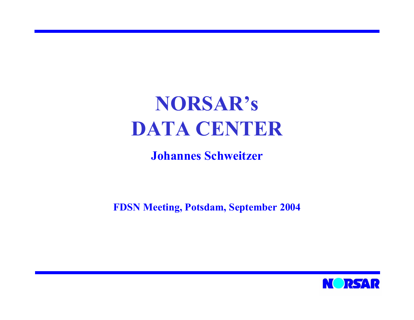# **NORSAR's DATA CENTER**

### **Johannes Schweitzer**

**FDSN Meeting, Potsdam, September 2004**

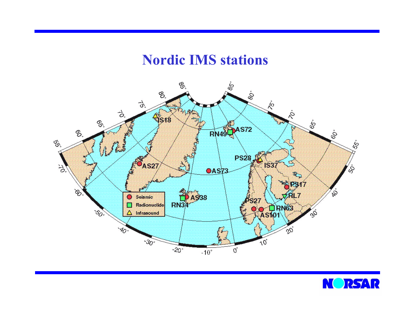## **Nordic IMS stations**



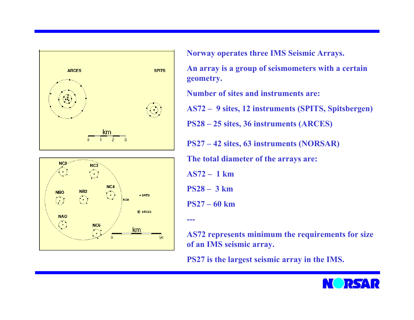



**Norway operates three I MS Seismic Arrays.**

**An array is a group of seismometers with a certain geometry.**

**Number of sites and instruments are:**

**AS72 – 9 sites, 12 instruments (SPITS, Spitsbergen)**

**PS28 – 25 sites, 36 instruments (ARCES)**

**PS27 – 42 sites, 63 instruments (NORS AR)**

**The total diameter of the arrays are:**

- **AS72 –1 km**
- **PS28 –3 km**

**PS27 –60 km**

**---**

**AS72 represents minimum the requirements for size of an IMS seismic array.**

**PS27 is the largest seismic array in the IMS.**

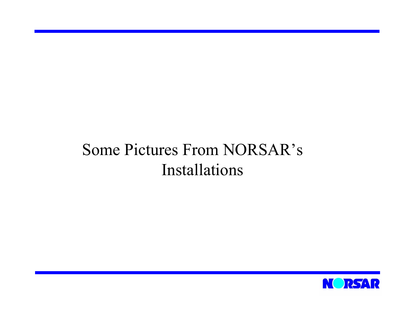## Some Pictures From NORSAR's Installations

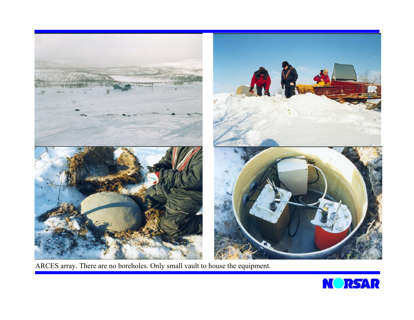

ARCES array. There are no boreholes. Only small vault to house the equipment.

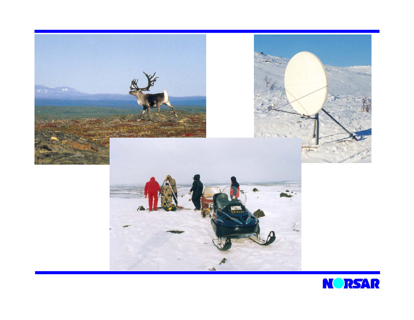

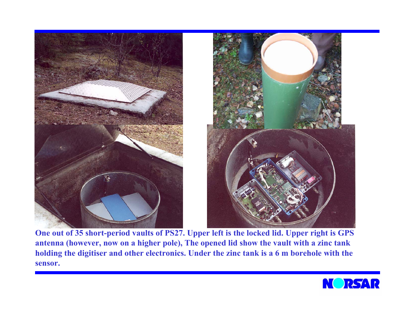



**One out of 35 short-period vaults of PS27. Upper left is the locked lid. Upper right is GPS antenna (however, now on a higher pole), The opened lid show the vault with a zinc tank holding the digitiser and other electronics. Under the zinc tank is a 6 m borehole with the sensor.**

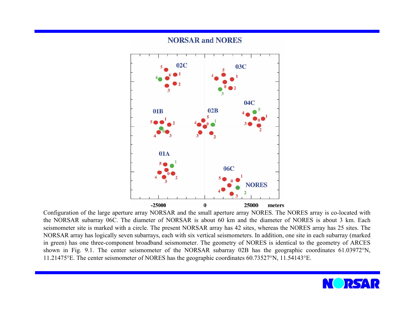### **NORSAR and NORES**



Configuration of the large aperture array NORSAR and the small aperture array NORES. The NORES array is co-located with the NORSAR subarray 06C. The diameter of NORSAR is about 60 km and the diameter of NORES is about 3 km. Each seismometer site is marked with a circle. The present NORSAR array has 42 sites, whereas the NORES array has 25 sites. The NORSAR array has logically seven subarrays, each with six vertical seismometers. In addition, one site in each subarray (marked in green) has one three-component broadband seismometer. The geometry of NORES is identical to the geometry of ARCES shown in Fig. 9.1. The center seismometer of the NORSAR subarray 02B has the geographic coordinates 61.03972°N, 11.21475°E. The center seismometer of NORES has the geographic coordinates 60.73527°N, 11.54143°E.

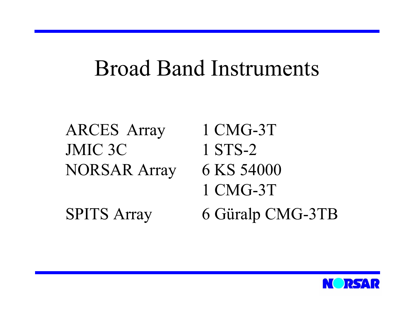# Broad Band Instruments

**ARCES** Array JMIC 3CNORSAR Array 6 KS 54000

 $1 \text{ CMG-3T}$  1 STS-2 1 CMG-3TSPITS Array 6 Güralp CMG-3TB